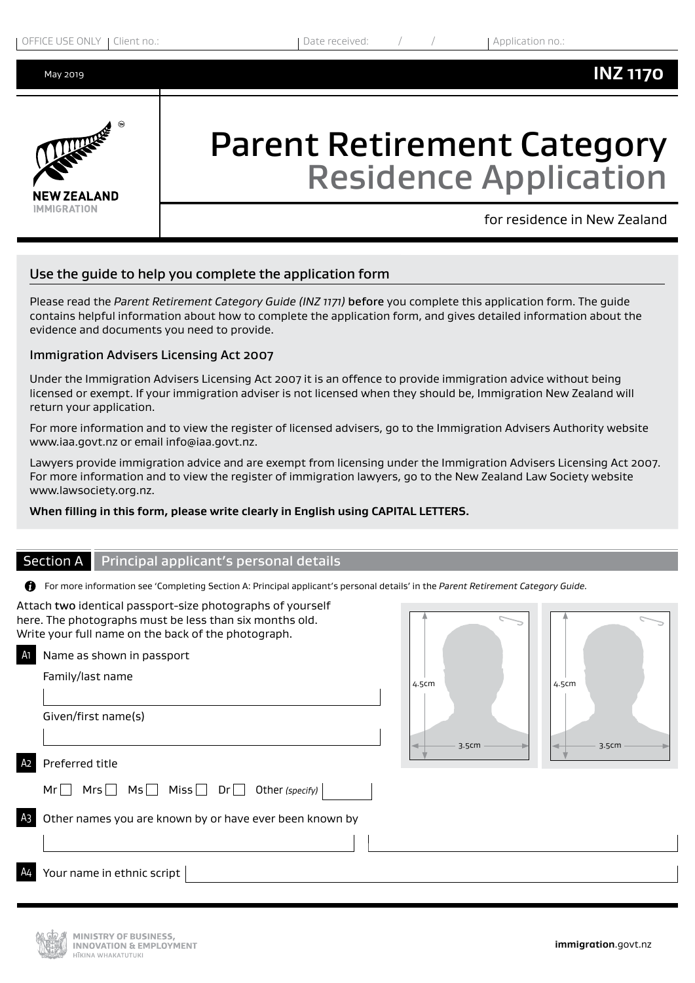May 2019



# Parent Retirement Category Residence Application

for residence in New Zealand

#### Use the guide to help you complete the application form

Please read the *Parent Retirement Category Guide (INZ 1171)* before you complete this application form. The guide contains helpful information about how to complete the application form, and gives detailed information about the evidence and documents you need to provide.

#### Immigration Advisers Licensing Act 2007

Under the Immigration Advisers Licensing Act 2007 it is an offence to provide immigration advice without being licensed or exempt. If your immigration adviser is not licensed when they should be, Immigration New Zealand will return your application.

For more information and to view the register of licensed advisers, go to the Immigration Advisers Authority website www.iaa.govt.nz or email info@iaa.govt.nz.

Lawyers provide immigration advice and are exempt from licensing under the Immigration Advisers Licensing Act 2007. For more information and to view the register of immigration lawyers, go to the New Zealand Law Society website www.lawsociety.org.nz.

#### **When filling in this form, please write clearly in English using CAPITAL LETTERS.**

#### Section A Principal applicant's personal details

For more information see 'Completing Section A: Principal applicant's personal details' in the *Parent Retirement Category Guide.*

|                | Attach two identical passport-size photographs of yourself<br>here. The photographs must be less than six months old.<br>Write your full name on the back of the photograph. |       |       |       |  |
|----------------|------------------------------------------------------------------------------------------------------------------------------------------------------------------------------|-------|-------|-------|--|
| A1             | Name as shown in passport                                                                                                                                                    |       |       |       |  |
|                | Family/last name                                                                                                                                                             | 4.5cm | 4.5cm |       |  |
|                | Given/first name(s)                                                                                                                                                          | 3.5cm |       | 3.5cm |  |
| A <sub>2</sub> | Preferred title                                                                                                                                                              |       |       |       |  |
|                | $Mrs$ $Ms$ $Miss$ $Dr$<br>Other (specify)<br>Mr                                                                                                                              |       |       |       |  |
| A <sub>3</sub> | Other names you are known by or have ever been known by                                                                                                                      |       |       |       |  |
|                |                                                                                                                                                                              |       |       |       |  |
| A <sub>4</sub> | Your name in ethnic script                                                                                                                                                   |       |       |       |  |

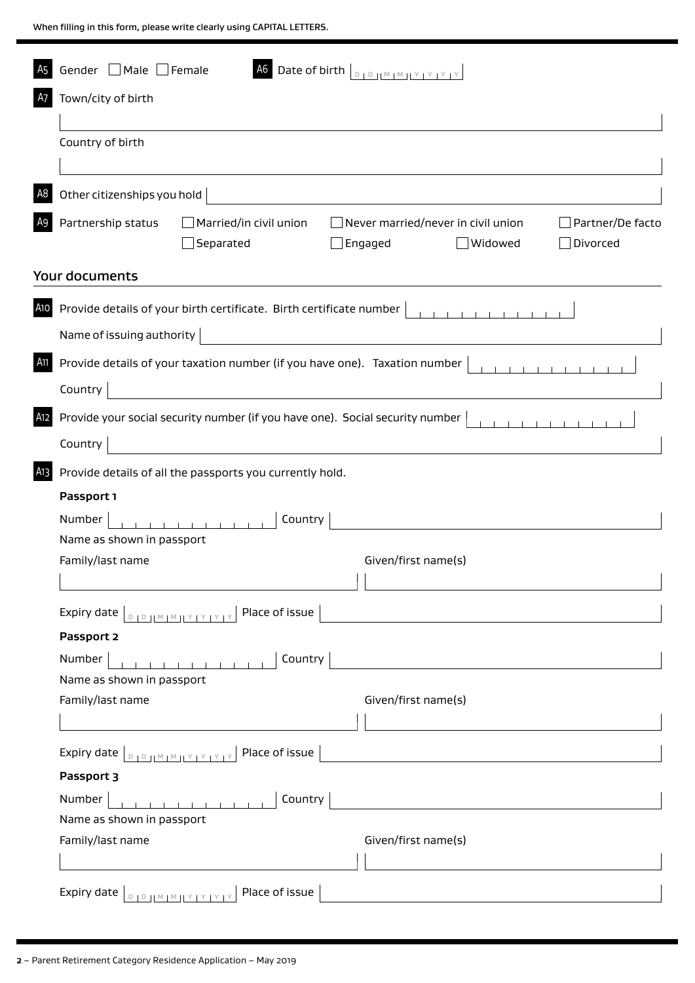When filling in this form, please write clearly using CAPITAL LETTERS.

| A <sub>5</sub>  | Gender □ Male □ Female                                                                                             |                                                                                                                                                                                | A6 Date of birth   DIDJLMIMILY IY IY IY              |         |                              |
|-----------------|--------------------------------------------------------------------------------------------------------------------|--------------------------------------------------------------------------------------------------------------------------------------------------------------------------------|------------------------------------------------------|---------|------------------------------|
| A7              | Town/city of birth                                                                                                 |                                                                                                                                                                                |                                                      |         |                              |
|                 | Country of birth                                                                                                   |                                                                                                                                                                                |                                                      |         |                              |
| A <sub>8</sub>  | Other citizenships you hold                                                                                        |                                                                                                                                                                                |                                                      |         |                              |
| A9              | Partnership status                                                                                                 | $\Box$ Married/in civil union<br>Separated                                                                                                                                     | $\Box$ Never married/never in civil union<br>Engaged | Widowed | Partner/De facto<br>Divorced |
|                 | <b>Your documents</b>                                                                                              |                                                                                                                                                                                |                                                      |         |                              |
| A <sub>10</sub> | Name of issuing authority                                                                                          | Provide details of your birth certificate. Birth certificate number                                                                                                            |                                                      | .       |                              |
| A11             | Country                                                                                                            | Provide details of your taxation number (if you have one). Taxation number<br><u> 1980 - Jan Barat, martin a</u>                                                               |                                                      |         |                              |
| A12             | Country                                                                                                            | Provide your social security number (if you have one). Social security number<br><u> 1989 - Jan Barbara Barbara, manazarta da </u>                                             |                                                      |         |                              |
| A13             |                                                                                                                    | Provide details of all the passports you currently hold.                                                                                                                       |                                                      |         |                              |
|                 | Passport 1                                                                                                         |                                                                                                                                                                                |                                                      |         |                              |
|                 | Number                                                                                                             | Country<br>$\mathbf{r}$ and $\mathbf{r}$ and $\mathbf{r}$ and $\mathbf{r}$                                                                                                     |                                                      |         |                              |
|                 | Name as shown in passport                                                                                          |                                                                                                                                                                                |                                                      |         |                              |
|                 | Family/last name                                                                                                   |                                                                                                                                                                                | Given/first name(s)                                  |         |                              |
|                 |                                                                                                                    | Expiry date $\left\lfloor \frac{D + D -  W  +  W  +  V  +  V  +  V }{D + D} \right\rfloor$ Place of issue $\left\lfloor \frac{D +  W  +  W  +  V  +  V }{D + D} \right\rfloor$ |                                                      |         |                              |
|                 | Passport 2                                                                                                         |                                                                                                                                                                                |                                                      |         |                              |
|                 | Number                                                                                                             |                                                                                                                                                                                |                                                      |         |                              |
|                 | Name as shown in passport                                                                                          |                                                                                                                                                                                |                                                      |         |                              |
|                 | Family/last name                                                                                                   |                                                                                                                                                                                | Given/first name(s)                                  |         |                              |
|                 | Expiry date $\boxed{\text{p}_{12}$ $\text{p}_{12}$ $\text{p}_{13}$ $\text{p}_{14}$ $\text{p}_{12}$ $\text{p}_{13}$ | Place of issue                                                                                                                                                                 |                                                      |         |                              |
|                 | Passport 3                                                                                                         |                                                                                                                                                                                |                                                      |         |                              |
|                 | Number                                                                                                             |                                                                                                                                                                                |                                                      |         |                              |
|                 | Name as shown in passport                                                                                          |                                                                                                                                                                                |                                                      |         |                              |
|                 | Family/last name                                                                                                   |                                                                                                                                                                                | Given/first name(s)                                  |         |                              |
|                 |                                                                                                                    |                                                                                                                                                                                |                                                      |         |                              |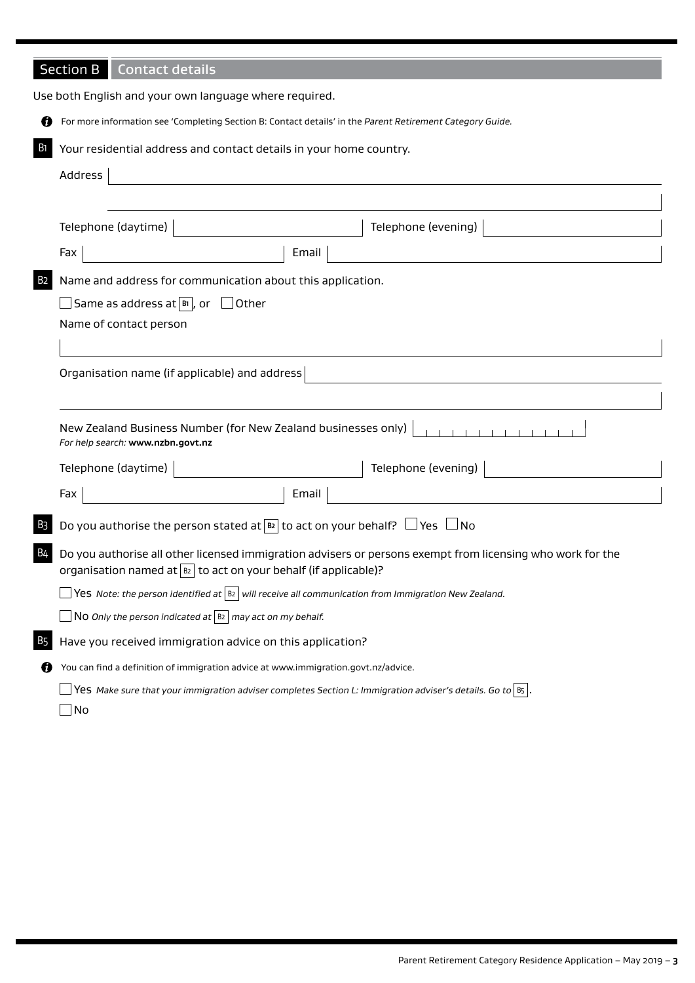## Section B Contact details

|                | Use both English and your own language where required.                                                                                                                                  |
|----------------|-----------------------------------------------------------------------------------------------------------------------------------------------------------------------------------------|
| Ø              | For more information see 'Completing Section B: Contact details' in the Parent Retirement Category Guide.                                                                               |
| <b>B</b> 1     | Your residential address and contact details in your home country.                                                                                                                      |
|                | Address                                                                                                                                                                                 |
|                |                                                                                                                                                                                         |
|                | Telephone (daytime)  <br>Telephone (evening)                                                                                                                                            |
|                | Email<br>Fax                                                                                                                                                                            |
| B <sub>2</sub> | Name and address for communication about this application.                                                                                                                              |
|                | Same as address at $ {\bf B} $ , or $\Box$ Other                                                                                                                                        |
|                | Name of contact person                                                                                                                                                                  |
|                |                                                                                                                                                                                         |
|                | Organisation name (if applicable) and address                                                                                                                                           |
|                |                                                                                                                                                                                         |
|                | New Zealand Business Number (for New Zealand businesses only)<br>For help search: www.nzbn.govt.nz                                                                                      |
|                | Telephone (evening)<br>Telephone (daytime)                                                                                                                                              |
|                | Email<br>Fax                                                                                                                                                                            |
| B <sub>3</sub> | Do you authorise the person stated at $\boxed{B2}$ to act on your behalf? $\Box$ Yes $\Box$ No                                                                                          |
| <b>B4</b>      | Do you authorise all other licensed immigration advisers or persons exempt from licensing who work for the<br>organisation named at $\boxed{12}$ to act on your behalf (if applicable)? |
|                | $\Box$ Yes Note: the person identified at $\vert$ B2 $\vert$ will receive all communication from Immigration New Zealand.                                                               |
|                | $\Box$ No Only the person indicated at $\boxed{B2}$ may act on my behalf.                                                                                                               |
| B5             | Have you received immigration advice on this application?                                                                                                                               |
| U              | You can find a definition of immigration advice at www.immigration.govt.nz/advice.                                                                                                      |
|                | Yes Make sure that your immigration adviser completes Section L: Immigration adviser's details. Go to $ 85 $ .                                                                          |
|                | $\Box$ No                                                                                                                                                                               |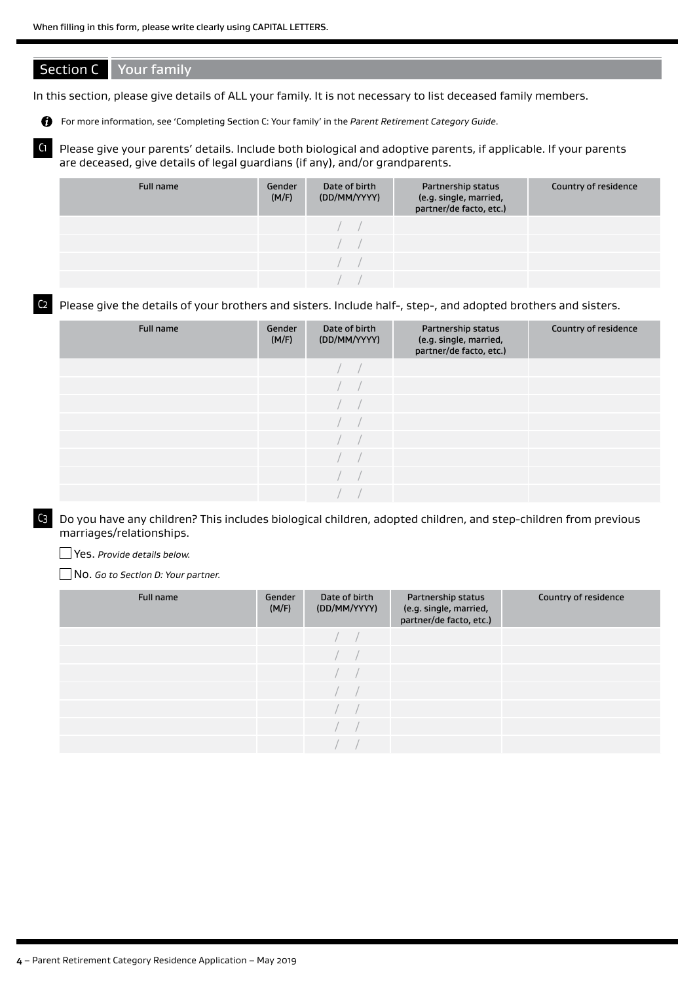#### Section C Your family

In this section, please give details of ALL your family. It is not necessary to list deceased family members.

For more information, see 'Completing Section C: Your family' in the *Parent Retirement Category Guide*.

C1 Please give your parents' details. Include both biological and adoptive parents, if applicable. If your parents are deceased, give details of legal guardians (if any), and/or grandparents.

| Full name | Gender<br>(M/F) | Date of birth<br>(DD/MM/YYYY) | Partnership status<br>(e.g. single, married,<br>partner/de facto, etc.) | Country of residence |
|-----------|-----------------|-------------------------------|-------------------------------------------------------------------------|----------------------|
|           |                 |                               |                                                                         |                      |
|           |                 |                               |                                                                         |                      |
|           |                 |                               |                                                                         |                      |
|           |                 |                               |                                                                         |                      |

C2 Please give the details of your brothers and sisters. Include half-, step-, and adopted brothers and sisters.

| Full name | Gender<br>(M/F) | Date of birth<br>(DD/MM/YYYY) | Partnership status<br>(e.g. single, married,<br>partner/de facto, etc.) | Country of residence |
|-----------|-----------------|-------------------------------|-------------------------------------------------------------------------|----------------------|
|           |                 |                               |                                                                         |                      |
|           |                 |                               |                                                                         |                      |
|           |                 |                               |                                                                         |                      |
|           |                 |                               |                                                                         |                      |
|           |                 |                               |                                                                         |                      |
|           |                 |                               |                                                                         |                      |
|           |                 |                               |                                                                         |                      |
|           |                 |                               |                                                                         |                      |

C3 Do you have any children? This includes biological children, adopted children, and step-children from previous marriages/relationships.

Yes. *Provide details below.*

No. *Go to Section D: Your partner.*

| Full name | Gender<br>(M/F) | Date of birth<br>(DD/MM/YYYY) | Partnership status<br>(e.g. single, married,<br>partner/de facto, etc.) | Country of residence |
|-----------|-----------------|-------------------------------|-------------------------------------------------------------------------|----------------------|
|           |                 |                               |                                                                         |                      |
|           |                 |                               |                                                                         |                      |
|           |                 |                               |                                                                         |                      |
|           |                 |                               |                                                                         |                      |
|           |                 |                               |                                                                         |                      |
|           |                 |                               |                                                                         |                      |
|           |                 |                               |                                                                         |                      |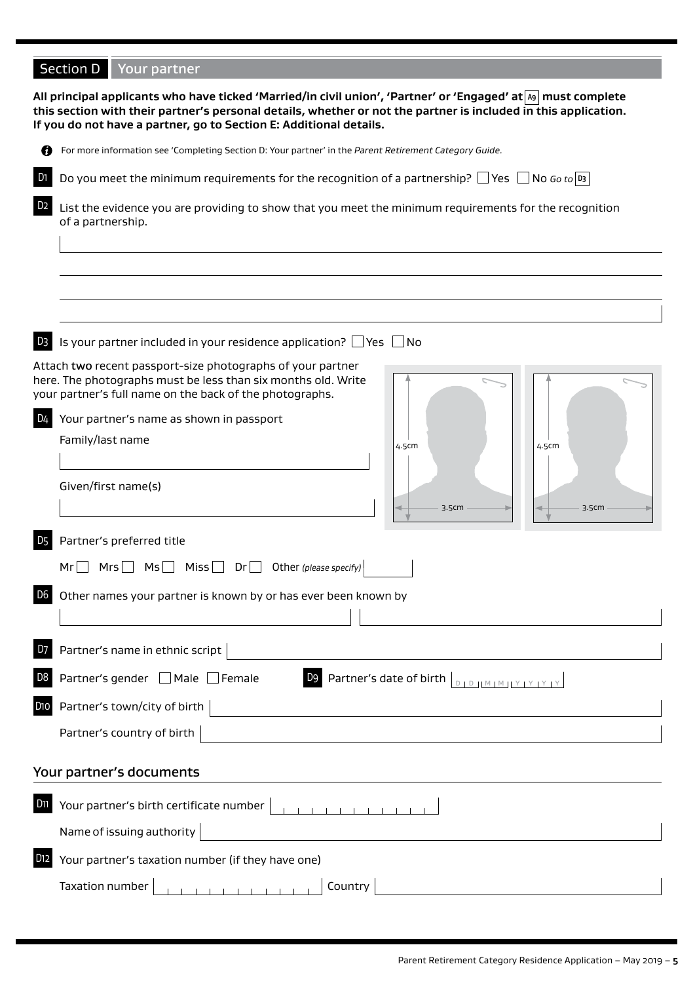## Section D Your partner

|                  | All principal applicants who have ticked 'Married/in civil union', 'Partner' or 'Engaged' at  49   must complete<br>this section with their partner's personal details, whether or not the partner is included in this application.<br>If you do not have a partner, go to Section E: Additional details. |
|------------------|-----------------------------------------------------------------------------------------------------------------------------------------------------------------------------------------------------------------------------------------------------------------------------------------------------------|
| ø                | For more information see 'Completing Section D: Your partner' in the Parent Retirement Category Guide.                                                                                                                                                                                                    |
| D <sub>1</sub>   | Do you meet the minimum requirements for the recognition of a partnership? Thes T No Go to $\mathfrak{p}_3$                                                                                                                                                                                               |
| D <sub>2</sub>   | List the evidence you are providing to show that you meet the minimum requirements for the recognition<br>of a partnership.                                                                                                                                                                               |
|                  |                                                                                                                                                                                                                                                                                                           |
| D <sub>3</sub>   | Is your partner included in your residence application? $\Box$ Yes $\Box$ No                                                                                                                                                                                                                              |
| D4               | Attach two recent passport-size photographs of your partner<br>here. The photographs must be less than six months old. Write<br>your partner's full name on the back of the photographs.<br>Your partner's name as shown in passport<br>Family/last name<br>4.5cm<br>4.5cm                                |
|                  | Given/first name(s)<br>3.5cm<br>3.5cm                                                                                                                                                                                                                                                                     |
| D <sub>5</sub>   | Partner's preferred title<br>$Mrs$ $Mss$ $Nis$ $Dr$<br>Other (please specify)<br>Mr                                                                                                                                                                                                                       |
|                  | Other names your partner is known by or has ever been known by                                                                                                                                                                                                                                            |
|                  | Partner's name in ethnic script                                                                                                                                                                                                                                                                           |
| D8               | Partner's gender   Male Female<br><b>D9</b> Partner's date of birth $\vert_{\mathbb{D}_1\mathbb{D}_1\ \mathbb{M}_1\mathbb{M}_1\ \mathbb{Y}_1\mathbb{Y}_1\ \mathbb{Y}_1\mathbb{Y}_1}$                                                                                                                      |
| D <sub>1</sub> O | Partner's town/city of birth                                                                                                                                                                                                                                                                              |
|                  | Partner's country of birth                                                                                                                                                                                                                                                                                |
|                  | Your partner's documents                                                                                                                                                                                                                                                                                  |
| D11              | Your partner's birth certificate number                                                                                                                                                                                                                                                                   |
|                  | Name of issuing authority                                                                                                                                                                                                                                                                                 |
| D12              | Your partner's taxation number (if they have one)                                                                                                                                                                                                                                                         |
|                  | Taxation number<br>Country<br>$\begin{array}{cccccccccccccc} 1 & 1 & 1 & 1 & 1 & 1 & 1 & 1 \end{array}$                                                                                                                                                                                                   |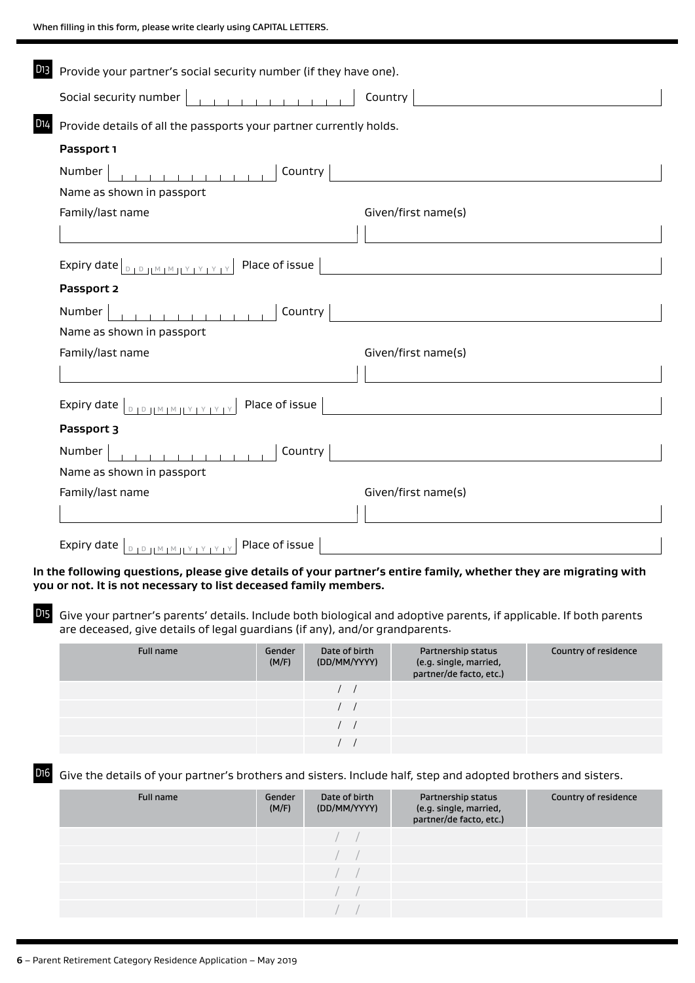| D13 I<br>Provide your partner's social security number (if they have one).                                                                                                                                                                                                                                                                                                                                                             |                                                                                                                      |
|----------------------------------------------------------------------------------------------------------------------------------------------------------------------------------------------------------------------------------------------------------------------------------------------------------------------------------------------------------------------------------------------------------------------------------------|----------------------------------------------------------------------------------------------------------------------|
| .<br>Social security number                                                                                                                                                                                                                                                                                                                                                                                                            | Country                                                                                                              |
| D14<br>Provide details of all the passports your partner currently holds.                                                                                                                                                                                                                                                                                                                                                              |                                                                                                                      |
| Passport 1                                                                                                                                                                                                                                                                                                                                                                                                                             |                                                                                                                      |
| Country<br>Number                                                                                                                                                                                                                                                                                                                                                                                                                      |                                                                                                                      |
| Name as shown in passport                                                                                                                                                                                                                                                                                                                                                                                                              |                                                                                                                      |
| Family/last name                                                                                                                                                                                                                                                                                                                                                                                                                       | Given/first name(s)                                                                                                  |
|                                                                                                                                                                                                                                                                                                                                                                                                                                        |                                                                                                                      |
| Place of issue $ $<br>Expiry date $\boxed{D + D +  M  +  M  +  Y  +  Y  +  Y }$                                                                                                                                                                                                                                                                                                                                                        | <u> 1980 - Jan Stein Stein Stein Stein Stein Stein Stein Stein Stein Stein Stein Stein Stein Stein Stein Stein S</u> |
| Passport 2                                                                                                                                                                                                                                                                                                                                                                                                                             |                                                                                                                      |
| Country<br>Number                                                                                                                                                                                                                                                                                                                                                                                                                      |                                                                                                                      |
| Name as shown in passport                                                                                                                                                                                                                                                                                                                                                                                                              |                                                                                                                      |
| Family/last name                                                                                                                                                                                                                                                                                                                                                                                                                       | Given/first name(s)                                                                                                  |
|                                                                                                                                                                                                                                                                                                                                                                                                                                        |                                                                                                                      |
| Expiry date $\left\lfloor \frac{D + D +  M  +  N  +  Y  +  Y }{D + D} \right\rfloor$ Place of issue                                                                                                                                                                                                                                                                                                                                    |                                                                                                                      |
| Passport 3                                                                                                                                                                                                                                                                                                                                                                                                                             |                                                                                                                      |
| Country<br>Number                                                                                                                                                                                                                                                                                                                                                                                                                      |                                                                                                                      |
| Name as shown in passport                                                                                                                                                                                                                                                                                                                                                                                                              |                                                                                                                      |
| Family/last name                                                                                                                                                                                                                                                                                                                                                                                                                       | Given/first name(s)                                                                                                  |
|                                                                                                                                                                                                                                                                                                                                                                                                                                        |                                                                                                                      |
| Expiry date $\left[\begin{array}{c c} 0 & 0 & \text{if } 0 & \text{if } 0 & \text{if } 0 & \text{if } 0 & \text{if } 0 & \text{if } 0 & \text{if } 0 & \text{if } 0 & \text{if } 0 & \text{if } 0 & \text{if } 0 & \text{if } 0 & \text{if } 0 & \text{if } 0 & \text{if } 0 & \text{if } 0 & \text{if } 0 & \text{if } 0 & \text{if } 0 & \text{if } 0 & \text{if } 0 & \text{if } 0 & \text{if } 0 & \text{if } 0$<br>Place of issue |                                                                                                                      |

**In the following questions, please give details of your partner's entire family, whether they are migrating with you or not. It is not necessary to list deceased family members.**

D15 Give your partner's parents' details. Include both biological and adoptive parents, if applicable. If both parents are deceased, give details of legal guardians (if any), and/or grandparents.

| Full name | Gender<br>(M/F) | Date of birth<br>(DD/MM/YYYY) | Partnership status<br>(e.g. single, married,<br>partner/de facto, etc.) | Country of residence |
|-----------|-----------------|-------------------------------|-------------------------------------------------------------------------|----------------------|
|           |                 |                               |                                                                         |                      |
|           |                 |                               |                                                                         |                      |
|           |                 |                               |                                                                         |                      |
|           |                 |                               |                                                                         |                      |

D16 Give the details of your partner's brothers and sisters. Include half, step and adopted brothers and sisters.

| Full name | Gender<br>(M/F) | Date of birth<br>(DD/MM/YYYY) | Partnership status<br>(e.g. single, married,<br>partner/de facto, etc.) | Country of residence |
|-----------|-----------------|-------------------------------|-------------------------------------------------------------------------|----------------------|
|           |                 |                               |                                                                         |                      |
|           |                 |                               |                                                                         |                      |
|           |                 |                               |                                                                         |                      |
|           |                 |                               |                                                                         |                      |
|           |                 |                               |                                                                         |                      |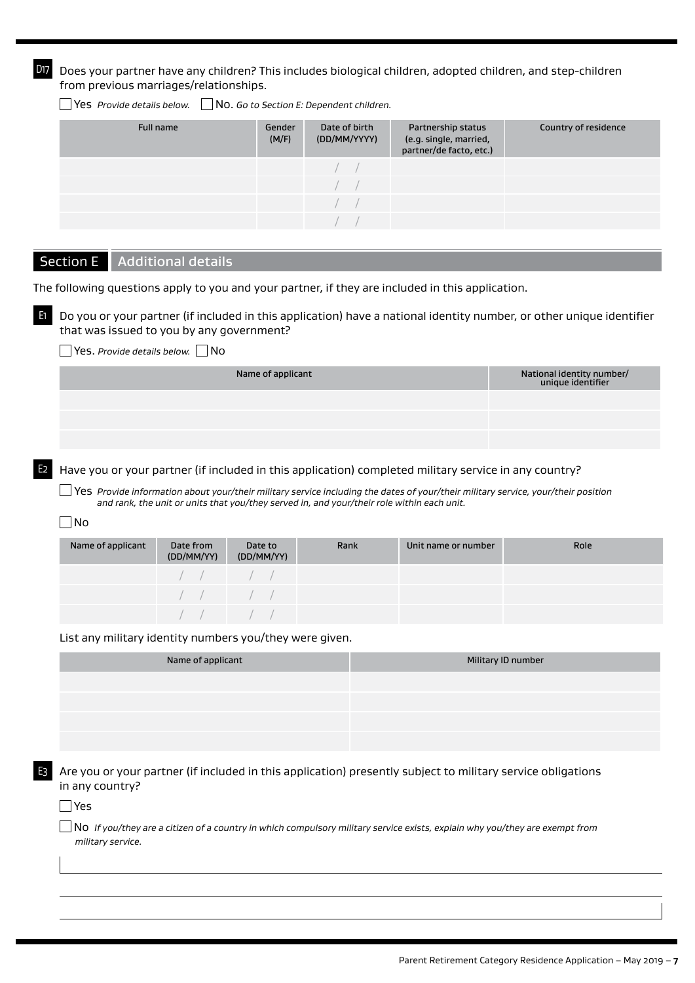D17 Does your partner have any children? This includes biological children, adopted children, and step-children from previous marriages/relationships.

Yes *Provide details below.* No. *Go to Section E: Dependent children.*

| Full name | Gender<br>(M/F) | Date of birth<br>(DD/MM/YYYY) | Partnership status<br>(e.g. single, married,<br>partner/de facto, etc.) | Country of residence |
|-----------|-----------------|-------------------------------|-------------------------------------------------------------------------|----------------------|
|           |                 |                               |                                                                         |                      |
|           |                 |                               |                                                                         |                      |
|           |                 |                               |                                                                         |                      |
|           |                 |                               |                                                                         |                      |

#### Section E | Additional details

The following questions apply to you and your partner, if they are included in this application.

E1 Do you or your partner (if included in this application) have a national identity number, or other unique identifier that was issued to you by any government?

Yes. *Provide details below.* No

| Name of applicant | National identity number/<br>unique identifier |
|-------------------|------------------------------------------------|
|                   |                                                |
|                   |                                                |
|                   |                                                |

Have you or your partner (if included in this application) completed military service in any country?

Yes *Provide information about your/their military service including the dates of your/their military service, your/their position and rank, the unit or units that you/they served in, and your/their role within each unit.*

#### $\Box$ No

| Name of applicant | Date from<br>(DD/MM/YY)                         | Date to<br>(DD/MM/YY)                            | Rank | Unit name or number | Role |
|-------------------|-------------------------------------------------|--------------------------------------------------|------|---------------------|------|
|                   | $\left( \begin{array}{ccc} \end{array} \right)$ |                                                  |      |                     |      |
|                   | $\left( \begin{array}{ccc} \end{array} \right)$ |                                                  |      |                     |      |
|                   |                                                 | $\left  \begin{array}{cccc} \end{array} \right $ |      |                     |      |

List any military identity numbers you/they were given.

| Name of applicant | Military ID number |
|-------------------|--------------------|
|                   |                    |
|                   |                    |
|                   |                    |
|                   |                    |

E3 Are you or your partner (if included in this application) presently subject to military service obligations in any country?

#### $\Box$  Yes

No *If you/they are a citizen of a country in which compulsory military service exists, explain why you/they are exempt from military service.*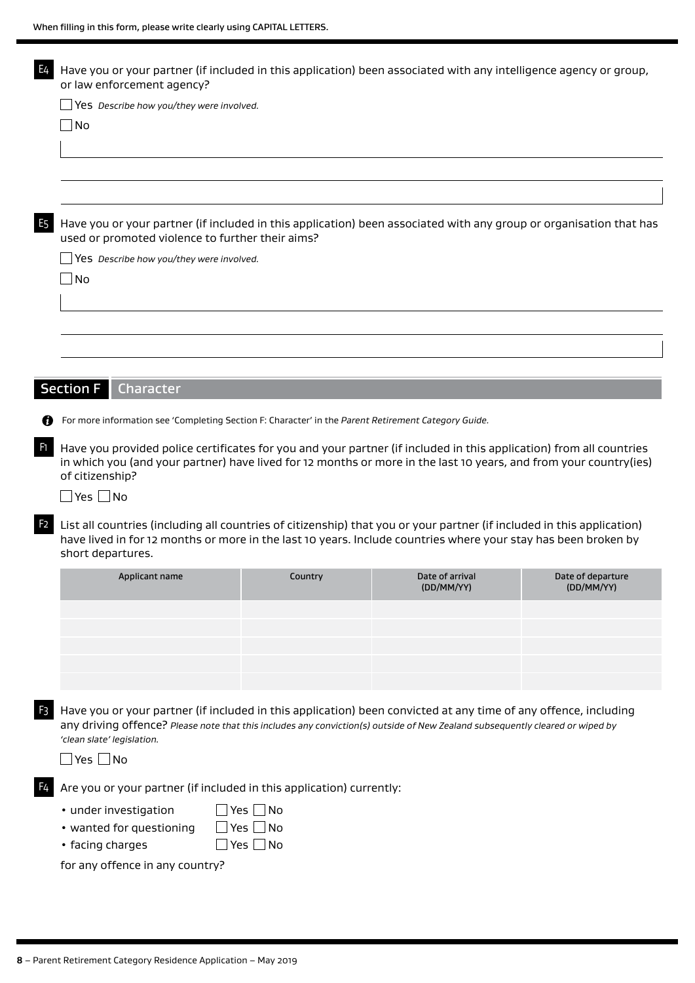|                | Have you or your partner (if included in this application) been associated with any intelligence agency or group,<br>or law enforcement agency?                                                                                                                                |               |                                                                                                                   |                   |
|----------------|--------------------------------------------------------------------------------------------------------------------------------------------------------------------------------------------------------------------------------------------------------------------------------|---------------|-------------------------------------------------------------------------------------------------------------------|-------------------|
|                | Yes Describe how you/they were involved.                                                                                                                                                                                                                                       |               |                                                                                                                   |                   |
|                | No                                                                                                                                                                                                                                                                             |               |                                                                                                                   |                   |
|                |                                                                                                                                                                                                                                                                                |               |                                                                                                                   |                   |
|                |                                                                                                                                                                                                                                                                                |               |                                                                                                                   |                   |
|                |                                                                                                                                                                                                                                                                                |               |                                                                                                                   |                   |
|                |                                                                                                                                                                                                                                                                                |               |                                                                                                                   |                   |
|                | Have you or your partner (if included in this application) been associated with any group or organisation that has<br>used or promoted violence to further their aims?                                                                                                         |               |                                                                                                                   |                   |
|                |                                                                                                                                                                                                                                                                                |               |                                                                                                                   |                   |
|                | Yes Describe how you/they were involved.                                                                                                                                                                                                                                       |               |                                                                                                                   |                   |
|                | $\overline{\phantom{a}}$ No                                                                                                                                                                                                                                                    |               |                                                                                                                   |                   |
|                |                                                                                                                                                                                                                                                                                |               |                                                                                                                   |                   |
|                |                                                                                                                                                                                                                                                                                |               |                                                                                                                   |                   |
|                |                                                                                                                                                                                                                                                                                |               |                                                                                                                   |                   |
|                |                                                                                                                                                                                                                                                                                |               |                                                                                                                   |                   |
|                |                                                                                                                                                                                                                                                                                |               |                                                                                                                   |                   |
|                | <b>Section F</b><br>Character                                                                                                                                                                                                                                                  |               |                                                                                                                   |                   |
| 69             | For more information see 'Completing Section F: Character' in the Parent Retirement Category Guide.                                                                                                                                                                            |               |                                                                                                                   |                   |
|                |                                                                                                                                                                                                                                                                                |               |                                                                                                                   |                   |
| F1.            | Have you provided police certificates for you and your partner (if included in this application) from all countries                                                                                                                                                            |               |                                                                                                                   |                   |
|                |                                                                                                                                                                                                                                                                                |               |                                                                                                                   |                   |
|                |                                                                                                                                                                                                                                                                                |               | in which you (and your partner) have lived for 12 months or more in the last 10 years, and from your country(ies) |                   |
|                | of citizenship?                                                                                                                                                                                                                                                                |               |                                                                                                                   |                   |
|                | $\Box$ Yes $\Box$ No                                                                                                                                                                                                                                                           |               |                                                                                                                   |                   |
|                | List all countries (including all countries of citizenship) that you or your partner (if included in this application)                                                                                                                                                         |               |                                                                                                                   |                   |
| F <sub>2</sub> | have lived in for 12 months or more in the last 10 years. Include countries where your stay has been broken by                                                                                                                                                                 |               |                                                                                                                   |                   |
|                | short departures.                                                                                                                                                                                                                                                              |               |                                                                                                                   |                   |
|                | Applicant name                                                                                                                                                                                                                                                                 | Country       | Date of arrival                                                                                                   | Date of departure |
|                |                                                                                                                                                                                                                                                                                |               | (DD/MM/YY)                                                                                                        | (DD/MM/YY)        |
|                |                                                                                                                                                                                                                                                                                |               |                                                                                                                   |                   |
|                |                                                                                                                                                                                                                                                                                |               |                                                                                                                   |                   |
|                |                                                                                                                                                                                                                                                                                |               |                                                                                                                   |                   |
|                |                                                                                                                                                                                                                                                                                |               |                                                                                                                   |                   |
|                |                                                                                                                                                                                                                                                                                |               |                                                                                                                   |                   |
|                | Have you or your partner (if included in this application) been convicted at any time of any offence, including<br>any driving offence? Please note that this includes any conviction(s) outside of New Zealand subsequently cleared or wiped by<br>'clean slate' legislation. |               |                                                                                                                   |                   |
|                | Yes $\Box$ No                                                                                                                                                                                                                                                                  |               |                                                                                                                   |                   |
|                | Are you or your partner (if included in this application) currently:                                                                                                                                                                                                           |               |                                                                                                                   |                   |
|                |                                                                                                                                                                                                                                                                                |               |                                                                                                                   |                   |
|                | • under investigation                                                                                                                                                                                                                                                          | Yes No        |                                                                                                                   |                   |
|                | • wanted for questioning                                                                                                                                                                                                                                                       | Yes $\Box$ No |                                                                                                                   |                   |
|                | • facing charges<br>for any offence in any country?                                                                                                                                                                                                                            | $Yes \Box No$ |                                                                                                                   |                   |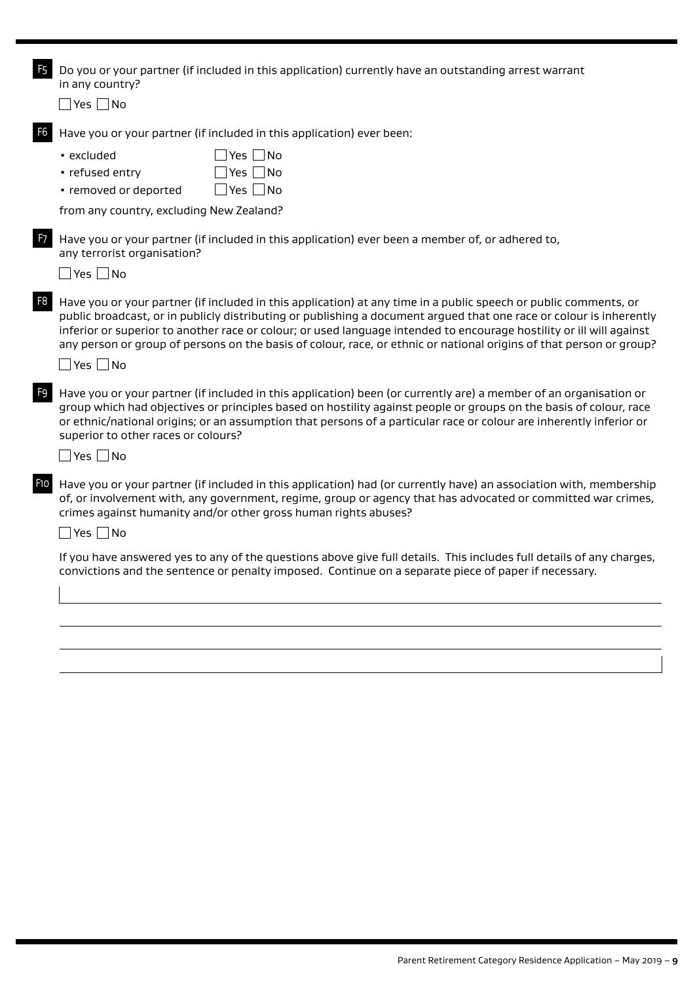| F <sub>5</sub> | Do you or your partner (if included in this application) currently have an outstanding arrest warrant<br>in any country?                                                                                                                                                                                                                                                                                                                                                               |
|----------------|----------------------------------------------------------------------------------------------------------------------------------------------------------------------------------------------------------------------------------------------------------------------------------------------------------------------------------------------------------------------------------------------------------------------------------------------------------------------------------------|
|                | $\Box$ Yes $\Box$ No                                                                                                                                                                                                                                                                                                                                                                                                                                                                   |
| F <sub>6</sub> | Have you or your partner (if included in this application) ever been:                                                                                                                                                                                                                                                                                                                                                                                                                  |
|                | $\exists$ Yes $\Box$ No<br>• excluded<br>Yes $\Box$ No<br>• refused entry<br>$\Box$ Yes $\Box$ No<br>• removed or deported                                                                                                                                                                                                                                                                                                                                                             |
|                | from any country, excluding New Zealand?                                                                                                                                                                                                                                                                                                                                                                                                                                               |
| F7             | Have you or your partner (if included in this application) ever been a member of, or adhered to,<br>any terrorist organisation?<br>$\Box$ Yes $\Box$ No                                                                                                                                                                                                                                                                                                                                |
| F <sub>8</sub> | Have you or your partner (if included in this application) at any time in a public speech or public comments, or<br>public broadcast, or in publicly distributing or publishing a document argued that one race or colour is inherently<br>inferior or superior to another race or colour; or used language intended to encourage hostility or ill will against<br>any person or group of persons on the basis of colour, race, or ethnic or national origins of that person or group? |
|                | $\Box$ Yes $\Box$ No                                                                                                                                                                                                                                                                                                                                                                                                                                                                   |
| F <sub>9</sub> | Have you or your partner (if included in this application) been (or currently are) a member of an organisation or<br>group which had objectives or principles based on hostility against people or groups on the basis of colour, race<br>or ethnic/national origins; or an assumption that persons of a particular race or colour are inherently inferior or<br>superior to other races or colours?                                                                                   |
|                | $\Box$ Yes $\Box$ No                                                                                                                                                                                                                                                                                                                                                                                                                                                                   |
| F10            | Have you or your partner (if included in this application) had (or currently have) an association with, membership<br>of, or involvement with, any government, regime, group or agency that has advocated or committed war crimes,<br>crimes against humanity and/or other gross human rights abuses?                                                                                                                                                                                  |
|                | Yes $\Box$ No                                                                                                                                                                                                                                                                                                                                                                                                                                                                          |
|                | If you have answered yes to any of the questions above give full details. This includes full details of any charges,<br>convictions and the sentence or penalty imposed. Continue on a separate piece of paper if necessary.                                                                                                                                                                                                                                                           |
|                |                                                                                                                                                                                                                                                                                                                                                                                                                                                                                        |
|                |                                                                                                                                                                                                                                                                                                                                                                                                                                                                                        |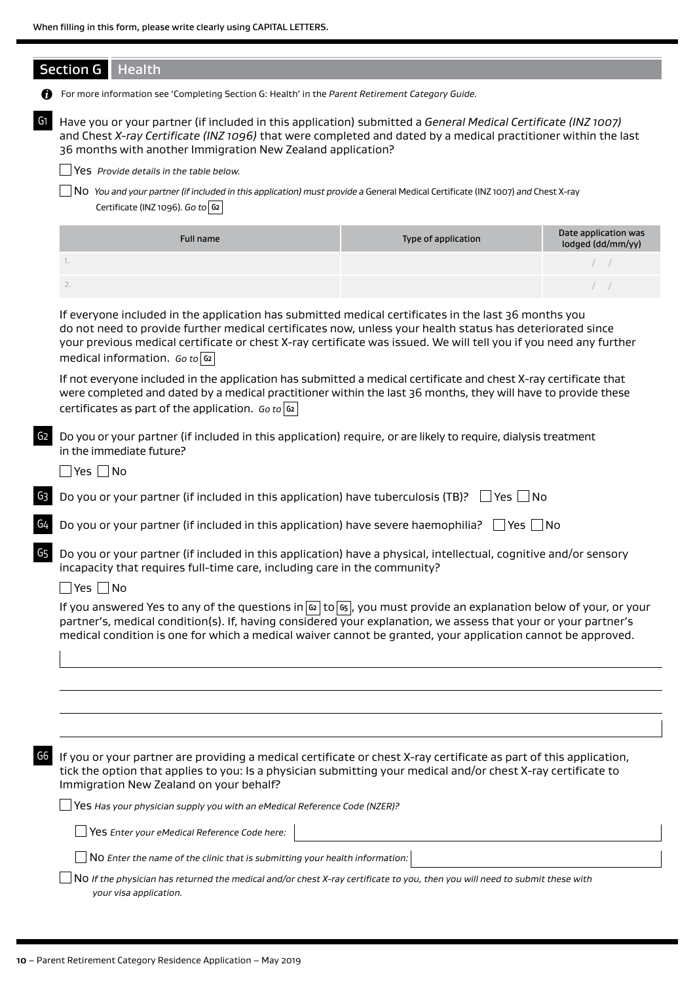|                | <b>Section G</b><br><b>Health</b>                                                                                                                                                                                                                                                                                                                                                 |                     |                                           |
|----------------|-----------------------------------------------------------------------------------------------------------------------------------------------------------------------------------------------------------------------------------------------------------------------------------------------------------------------------------------------------------------------------------|---------------------|-------------------------------------------|
|                | For more information see 'Completing Section G: Health' in the Parent Retirement Category Guide.                                                                                                                                                                                                                                                                                  |                     |                                           |
| G1             | Have you or your partner (if included in this application) submitted a General Medical Certificate (INZ 1007)<br>and Chest X-ray Certificate (INZ 1096) that were completed and dated by a medical practitioner within the last<br>36 months with another Immigration New Zealand application?                                                                                    |                     |                                           |
|                | Yes Provide details in the table below.                                                                                                                                                                                                                                                                                                                                           |                     |                                           |
|                | No You and your partner (if included in this application) must provide a General Medical Certificate (INZ 1007) and Chest X-ray<br>Certificate (INZ 1096). Go to $ 92 $                                                                                                                                                                                                           |                     |                                           |
|                | <b>Full name</b>                                                                                                                                                                                                                                                                                                                                                                  | Type of application | Date application was<br>lodged (dd/mm/yy) |
|                | 1.                                                                                                                                                                                                                                                                                                                                                                                |                     |                                           |
|                | 2.                                                                                                                                                                                                                                                                                                                                                                                |                     | $\left  \quad \right $                    |
|                | If everyone included in the application has submitted medical certificates in the last 36 months you<br>do not need to provide further medical certificates now, unless your health status has deteriorated since<br>your previous medical certificate or chest X-ray certificate was issued. We will tell you if you need any further<br>medical information. $Go to \boxed{62}$ |                     |                                           |
|                | If not everyone included in the application has submitted a medical certificate and chest X-ray certificate that<br>were completed and dated by a medical practitioner within the last 36 months, they will have to provide these<br>certificates as part of the application. Go to $ G_2 $                                                                                       |                     |                                           |
| G <sub>2</sub> | Do you or your partner (if included in this application) require, or are likely to require, dialysis treatment<br>in the immediate future?                                                                                                                                                                                                                                        |                     |                                           |
|                | $\Box$ Yes $\Box$ No                                                                                                                                                                                                                                                                                                                                                              |                     |                                           |
| G3             | Do you or your partner (if included in this application) have tuberculosis (TB)? $\Box$ Yes $\Box$ No                                                                                                                                                                                                                                                                             |                     |                                           |
| G4             | Do you or your partner (if included in this application) have severe haemophilia? $\Box$ Yes $\Box$ No                                                                                                                                                                                                                                                                            |                     |                                           |
| G5             | Do you or your partner (if included in this application) have a physical, intellectual, cognitive and/or sensory<br>incapacity that requires full-time care, including care in the community?                                                                                                                                                                                     |                     |                                           |
|                | N <sub>O</sub><br>Yes                                                                                                                                                                                                                                                                                                                                                             |                     |                                           |
|                | If you answered Yes to any of the questions in $\alpha$ to $\alpha$ , you must provide an explanation below of your, or your<br>partner's, medical condition(s). If, having considered your explanation, we assess that your or your partner's<br>medical condition is one for which a medical waiver cannot be granted, your application cannot be approved.                     |                     |                                           |
|                |                                                                                                                                                                                                                                                                                                                                                                                   |                     |                                           |
|                |                                                                                                                                                                                                                                                                                                                                                                                   |                     |                                           |
|                |                                                                                                                                                                                                                                                                                                                                                                                   |                     |                                           |
|                |                                                                                                                                                                                                                                                                                                                                                                                   |                     |                                           |
| G6             | If you or your partner are providing a medical certificate or chest X-ray certificate as part of this application,<br>tick the option that applies to you: Is a physician submitting your medical and/or chest X-ray certificate to<br>Immigration New Zealand on your behalf?                                                                                                    |                     |                                           |
|                | Yes Has your physician supply you with an eMedical Reference Code (NZER)?                                                                                                                                                                                                                                                                                                         |                     |                                           |
|                | $\Box$ Yes Enter your eMedical Reference Code here:                                                                                                                                                                                                                                                                                                                               |                     |                                           |
|                | No Enter the name of the clinic that is submitting your health information:                                                                                                                                                                                                                                                                                                       |                     |                                           |
|                | NO If the physician has returned the medical and/or chest X-ray certificate to you, then you will need to submit these with<br>your visa application.                                                                                                                                                                                                                             |                     |                                           |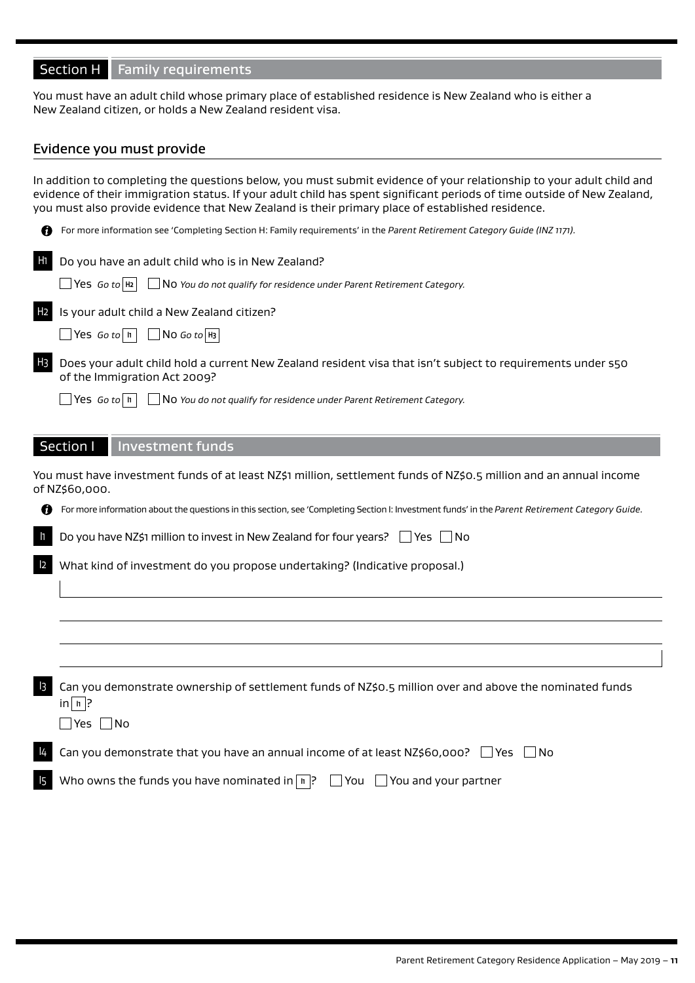## Section H Family requirements

You must have an adult child whose primary place of established residence is New Zealand who is either a New Zealand citizen, or holds a New Zealand resident visa.

#### Evidence you must provide

In addition to completing the questions below, you must submit evidence of your relationship to your adult child and evidence of their immigration status. If your adult child has spent significant periods of time outside of New Zealand, you must also provide evidence that New Zealand is their primary place of established residence.

|                | For more information see 'Completing Section H: Family requirements' in the Parent Retirement Category Guide (INZ 1171).                                                                                                                        |
|----------------|-------------------------------------------------------------------------------------------------------------------------------------------------------------------------------------------------------------------------------------------------|
| H1             | Do you have an adult child who is in New Zealand?<br>$\Box$ Yes Go to $H_2$<br>$\Box$ N0 You do not qualify for residence under Parent Retirement Category.                                                                                     |
| H <sub>2</sub> | Is your adult child a New Zealand citizen?<br>$\Box$ Yes Go to   h  <br>$\Box$ No Go to $H_3$                                                                                                                                                   |
| H <sub>3</sub> | Does your adult child hold a current New Zealand resident visa that isn't subject to requirements under s50<br>of the Immigration Act 2009?<br>$\Box$ Yes Go to   II  <br>No You do not qualify for residence under Parent Retirement Category. |
|                | Section I<br><b>Investment funds</b><br>You must have investment funds of at least NZ\$1 million, settlement funds of NZ\$0.5 million and an annual income                                                                                      |
|                | of NZ\$60,000.                                                                                                                                                                                                                                  |
|                | For more information about the questions in this section, see 'Completing Section I: Investment funds' in the Parent Retirement Category Guide.                                                                                                 |
| $\mathsf{L}$   | Do you have NZ\$1 million to invest in New Zealand for four years? □ Yes<br>- I No                                                                                                                                                              |
| 2              | What kind of investment do you propose undertaking? (Indicative proposal.)                                                                                                                                                                      |
|                |                                                                                                                                                                                                                                                 |
|                |                                                                                                                                                                                                                                                 |
| $\overline{3}$ | Can you demonstrate ownership of settlement funds of NZ\$0.5 million over and above the nominated funds<br>$\ln   \ln  ?$<br>$\Box$ Yes $\Box$ No                                                                                               |
| 14             | Can you demonstrate that you have an annual income of at least $NZ$60,000?$ $\Box$ Yes<br>l No                                                                                                                                                  |
| 15             | Who owns the funds you have nominated in $\boxed{n}$ ? $\boxed{ }$ You $\boxed{ }$ You and your partner                                                                                                                                         |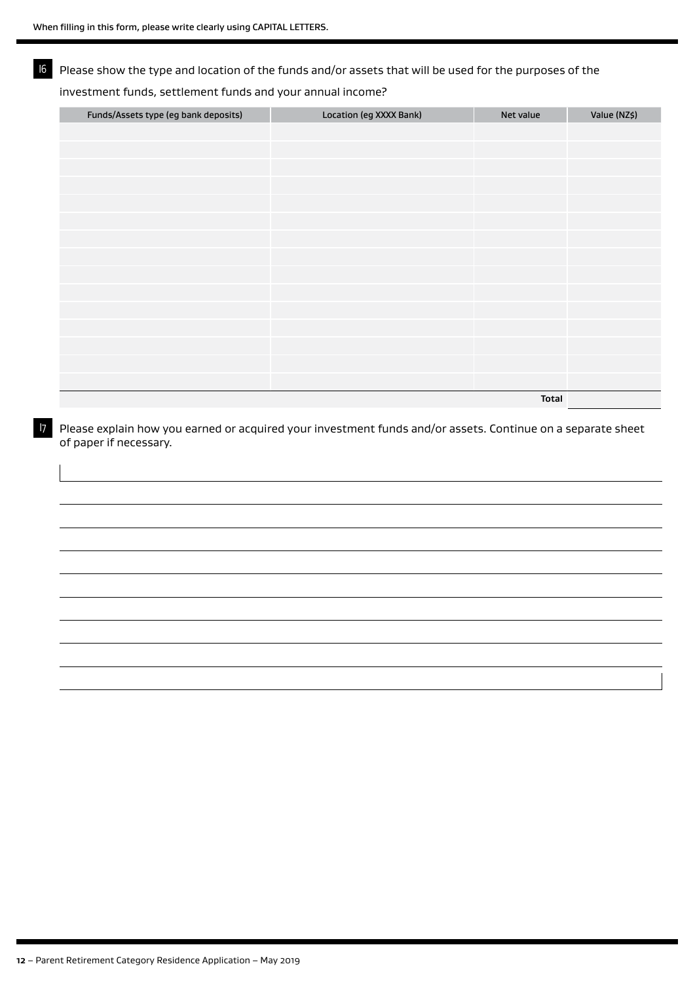## I6 Please show the type and location of the funds and/or assets that will be used for the purposes of the

#### investment funds, settlement funds and your annual income?

| Funds/Assets type (eg bank deposits) | Location (eg XXXX Bank) | Net value    | Value (NZ\$) |
|--------------------------------------|-------------------------|--------------|--------------|
|                                      |                         |              |              |
|                                      |                         |              |              |
|                                      |                         |              |              |
|                                      |                         |              |              |
|                                      |                         |              |              |
|                                      |                         |              |              |
|                                      |                         |              |              |
|                                      |                         |              |              |
|                                      |                         |              |              |
|                                      |                         |              |              |
|                                      |                         |              |              |
|                                      |                         |              |              |
|                                      |                         |              |              |
|                                      |                         |              |              |
|                                      |                         |              |              |
|                                      |                         | <b>Total</b> |              |

I7 Please explain how you earned or acquired your investment funds and/or assets. Continue on a separate sheet of paper if necessary.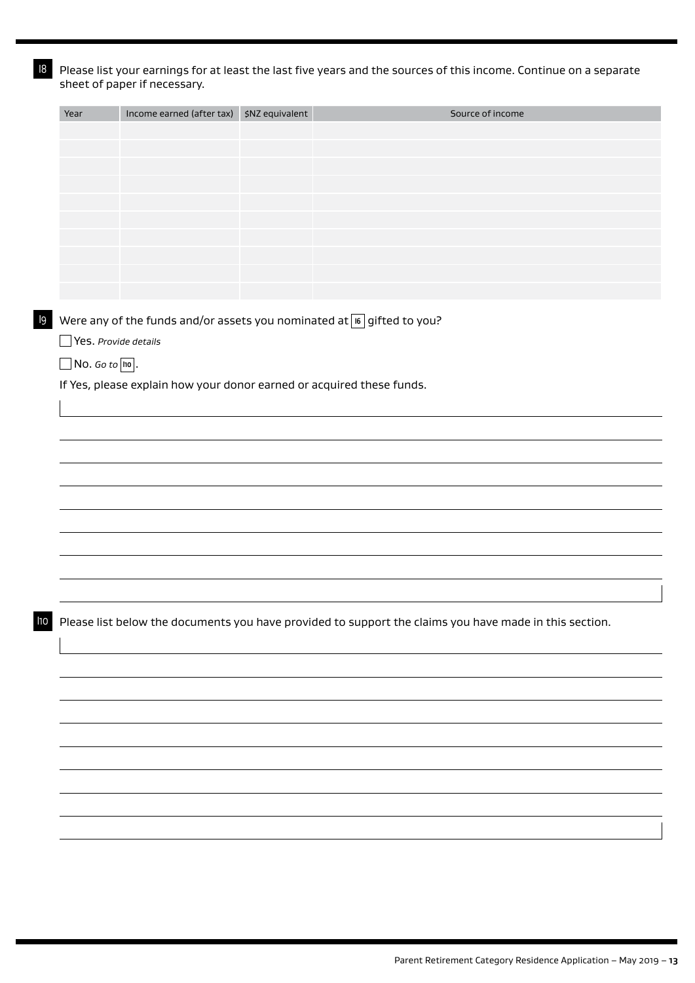$18$  Please list your earnings for at least the last five years and the sources of this income. Continue on a separate sheet of paper if necessary.

|                             |                                                                       | Income earned (after tax) \$NZ equivalent | Source of income                                                                                       |
|-----------------------------|-----------------------------------------------------------------------|-------------------------------------------|--------------------------------------------------------------------------------------------------------|
|                             |                                                                       |                                           |                                                                                                        |
|                             |                                                                       |                                           |                                                                                                        |
|                             |                                                                       |                                           |                                                                                                        |
|                             |                                                                       |                                           |                                                                                                        |
|                             |                                                                       |                                           |                                                                                                        |
|                             |                                                                       |                                           |                                                                                                        |
|                             |                                                                       |                                           |                                                                                                        |
|                             |                                                                       |                                           |                                                                                                        |
|                             |                                                                       |                                           |                                                                                                        |
|                             |                                                                       |                                           |                                                                                                        |
|                             |                                                                       |                                           | Were any of the funds and/or assets you nominated at $[6]$ gifted to you?                              |
| $\Box$ Yes. Provide details |                                                                       |                                           |                                                                                                        |
|                             |                                                                       |                                           |                                                                                                        |
| $\Box$ No. Go to $\Box$ .   |                                                                       |                                           |                                                                                                        |
|                             | If Yes, please explain how your donor earned or acquired these funds. |                                           |                                                                                                        |
|                             |                                                                       |                                           |                                                                                                        |
|                             |                                                                       |                                           |                                                                                                        |
|                             |                                                                       |                                           |                                                                                                        |
|                             |                                                                       |                                           |                                                                                                        |
|                             |                                                                       |                                           |                                                                                                        |
|                             |                                                                       |                                           |                                                                                                        |
|                             |                                                                       |                                           |                                                                                                        |
|                             |                                                                       |                                           |                                                                                                        |
|                             |                                                                       |                                           |                                                                                                        |
|                             |                                                                       |                                           |                                                                                                        |
|                             |                                                                       |                                           |                                                                                                        |
|                             |                                                                       |                                           |                                                                                                        |
|                             |                                                                       |                                           |                                                                                                        |
|                             |                                                                       |                                           | Please list below the documents you have provided to support the claims you have made in this section. |
|                             |                                                                       |                                           |                                                                                                        |
|                             |                                                                       |                                           |                                                                                                        |
|                             |                                                                       |                                           |                                                                                                        |
|                             |                                                                       |                                           |                                                                                                        |
|                             |                                                                       |                                           |                                                                                                        |
|                             |                                                                       |                                           |                                                                                                        |
|                             |                                                                       |                                           |                                                                                                        |
|                             |                                                                       |                                           |                                                                                                        |
|                             |                                                                       |                                           |                                                                                                        |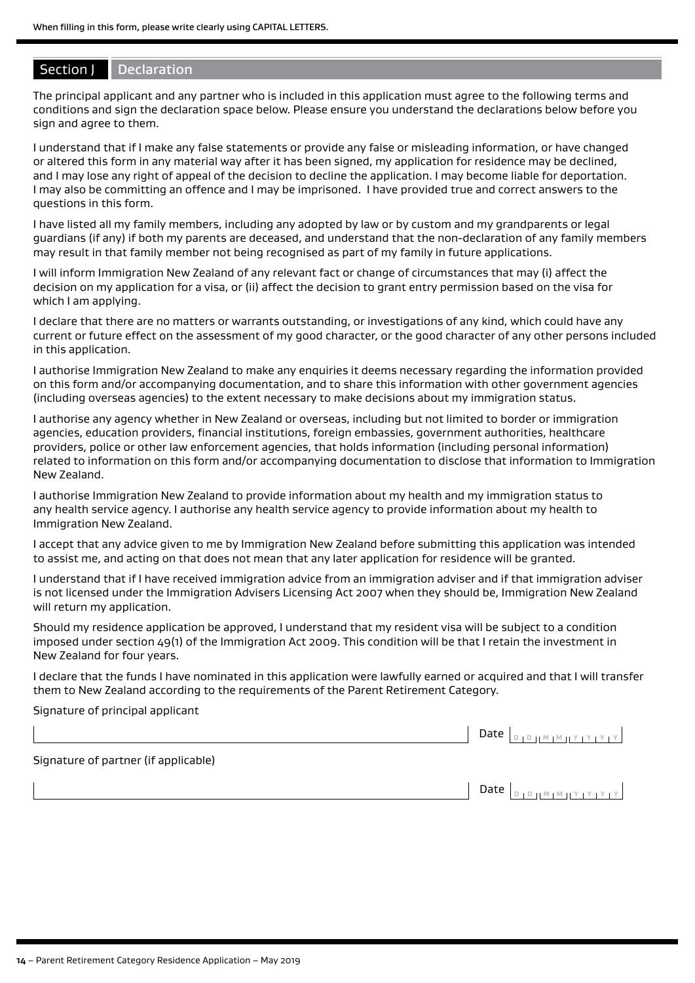#### Section J Declaration

The principal applicant and any partner who is included in this application must agree to the following terms and conditions and sign the declaration space below. Please ensure you understand the declarations below before you sign and agree to them.

I understand that if I make any false statements or provide any false or misleading information, or have changed or altered this form in any material way after it has been signed, my application for residence may be declined, and I may lose any right of appeal of the decision to decline the application. I may become liable for deportation. I may also be committing an offence and I may be imprisoned. I have provided true and correct answers to the questions in this form.

I have listed all my family members, including any adopted by law or by custom and my grandparents or legal guardians (if any) if both my parents are deceased, and understand that the non-declaration of any family members may result in that family member not being recognised as part of my family in future applications.

I will inform Immigration New Zealand of any relevant fact or change of circumstances that may (i) affect the decision on my application for a visa, or (ii) affect the decision to grant entry permission based on the visa for which I am applying.

I declare that there are no matters or warrants outstanding, or investigations of any kind, which could have any current or future effect on the assessment of my good character, or the good character of any other persons included in this application.

I authorise Immigration New Zealand to make any enquiries it deems necessary regarding the information provided on this form and/or accompanying documentation, and to share this information with other government agencies (including overseas agencies) to the extent necessary to make decisions about my immigration status.

I authorise any agency whether in New Zealand or overseas, including but not limited to border or immigration agencies, education providers, financial institutions, foreign embassies, government authorities, healthcare providers, police or other law enforcement agencies, that holds information (including personal information) related to information on this form and/or accompanying documentation to disclose that information to Immigration New Zealand.

I authorise Immigration New Zealand to provide information about my health and my immigration status to any health service agency. I authorise any health service agency to provide information about my health to Immigration New Zealand.

I accept that any advice given to me by Immigration New Zealand before submitting this application was intended to assist me, and acting on that does not mean that any later application for residence will be granted.

I understand that if I have received immigration advice from an immigration adviser and if that immigration adviser is not licensed under the Immigration Advisers Licensing Act 2007 when they should be, Immigration New Zealand will return my application.

Should my residence application be approved, I understand that my resident visa will be subject to a condition imposed under section 49(1) of the Immigration Act 2009. This condition will be that I retain the investment in New Zealand for four years.

I declare that the funds I have nominated in this application were lawfully earned or acquired and that I will transfer them to New Zealand according to the requirements of the Parent Retirement Category.

#### Signature of principal applicant

|                                      | Date $\vert_{\text{D} \vert \text{D} \vert \text{I}^{\text{M}} \vert \text{M} \vert \text{I}^{\text{Y}} \vert \text{Y} \vert \text{Y} \vert \text{Y}}$ |
|--------------------------------------|--------------------------------------------------------------------------------------------------------------------------------------------------------|
| Signature of partner (if applicable) |                                                                                                                                                        |
|                                      | .<br> צן צן צן צון <u>אן און סן</u> ב<br>Date $ _n$                                                                                                    |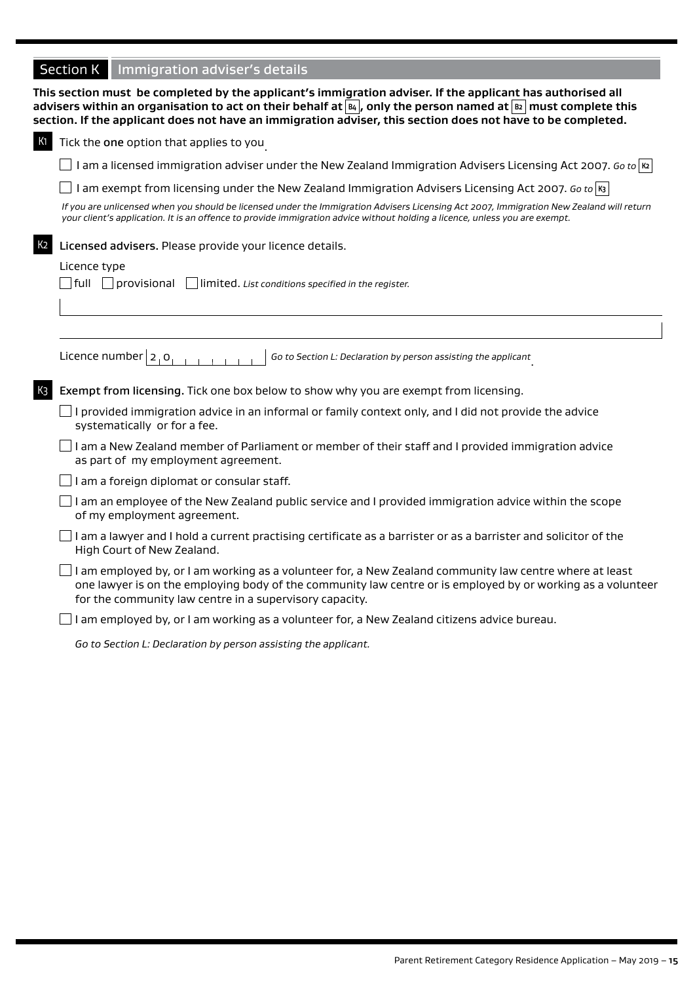## **Section K** Immigration adviser's details

|                | advisers within an organisation to act on their behalf at $\mathbb{E}_4$ , only the person named at $\mathbb{E}_2$ must complete this<br>section. If the applicant does not have an immigration adviser, this section does not have to be completed.                              |
|----------------|-----------------------------------------------------------------------------------------------------------------------------------------------------------------------------------------------------------------------------------------------------------------------------------|
| К1             | Tick the one option that applies to you                                                                                                                                                                                                                                           |
|                | I am a licensed immigration adviser under the New Zealand Immigration Advisers Licensing Act 2007. Go to $\kappa$                                                                                                                                                                 |
|                | I am exempt from licensing under the New Zealand Immigration Advisers Licensing Act 2007. Go to $ s $                                                                                                                                                                             |
|                | If you are unlicensed when you should be licensed under the Immigration Advisers Licensing Act 2007, Immigration New Zealand will return<br>your client's application. It is an offence to provide immigration advice without holding a licence, unless you are exempt.           |
| K <sub>2</sub> | Licensed advisers. Please provide your licence details.                                                                                                                                                                                                                           |
|                | Licence type                                                                                                                                                                                                                                                                      |
|                | $\Box$ full $\Box$ provisional<br>$\Box$ limited. List conditions specified in the register.                                                                                                                                                                                      |
|                |                                                                                                                                                                                                                                                                                   |
|                |                                                                                                                                                                                                                                                                                   |
|                |                                                                                                                                                                                                                                                                                   |
|                | Licence number $ 2,0 $<br>Go to Section L: Declaration by person assisting the applicant                                                                                                                                                                                          |
| K3             | Exempt from licensing. Tick one box below to show why you are exempt from licensing.                                                                                                                                                                                              |
|                | I provided immigration advice in an informal or family context only, and I did not provide the advice<br>systematically or for a fee.                                                                                                                                             |
|                | I am a New Zealand member of Parliament or member of their staff and I provided immigration advice<br>as part of my employment agreement.                                                                                                                                         |
|                | I am a foreign diplomat or consular staff.                                                                                                                                                                                                                                        |
|                | I am an employee of the New Zealand public service and I provided immigration advice within the scope<br>of my employment agreement.                                                                                                                                              |
|                | I am a lawyer and I hold a current practising certificate as a barrister or as a barrister and solicitor of the<br>High Court of New Zealand.                                                                                                                                     |
|                | I am employed by, or I am working as a volunteer for, a New Zealand community law centre where at least<br>one lawyer is on the employing body of the community law centre or is employed by or working as a volunteer<br>for the community law centre in a supervisory capacity. |
|                | I am employed by, or I am working as a volunteer for, a New Zealand citizens advice bureau.                                                                                                                                                                                       |
|                | Go to Section L: Declaration by person assisting the applicant.                                                                                                                                                                                                                   |

**This section must be completed by the applicant's immigration adviser. If the applicant has authorised all**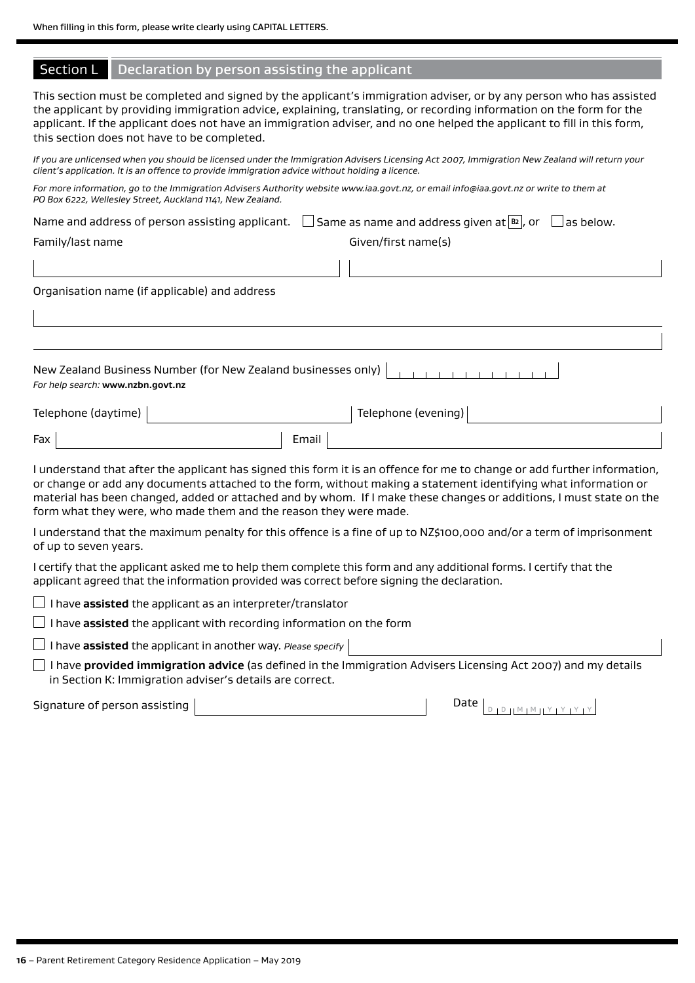#### Section L Declaration by person assisting the applicant

This section must be completed and signed by the applicant's immigration adviser, or by any person who has assisted the applicant by providing immigration advice, explaining, translating, or recording information on the form for the applicant. If the applicant does not have an immigration adviser, and no one helped the applicant to fill in this form, this section does not have to be completed.

*If you are unlicensed when you should be licensed under the Immigration Advisers Licensing Act 2007, Immigration New Zealand will return your client's application. It is an offence to provide immigration advice without holding a licence.*

*For more information, go to the Immigration Advisers Authority website www.iaa.govt.nz, or email info@iaa.govt.nz or write to them at PO Box 6222, Wellesley Street, Auckland 1141, New Zealand.*

|                                               | Name and address of person assisting applicant. $\Box$ Same as name and address given at $\boxed{^{B2}}$ , or $\Box$ as below. |
|-----------------------------------------------|--------------------------------------------------------------------------------------------------------------------------------|
| Family/last name                              | Given/first name(s)                                                                                                            |
|                                               |                                                                                                                                |
| Organisation name (if applicable) and address |                                                                                                                                |

| For help search: www.nzbn.govt.nz |  |  |  |  |  |  |  |  |
|-----------------------------------|--|--|--|--|--|--|--|--|

| Telephone (daytime) |       | Telephone (evening) |  |
|---------------------|-------|---------------------|--|
| Fax                 | Email |                     |  |

I understand that after the applicant has signed this form it is an offence for me to change or add further information, or change or add any documents attached to the form, without making a statement identifying what information or material has been changed, added or attached and by whom. If I make these changes or additions, I must state on the form what they were, who made them and the reason they were made.

I understand that the maximum penalty for this offence is a fine of up to NZ\$100,000 and/or a term of imprisonment of up to seven years.

I certify that the applicant asked me to help them complete this form and any additional forms. I certify that the applicant agreed that the information provided was correct before signing the declaration.

 $\Box$  I have **assisted** the applicant as an interpreter/translator

 $\Box$  I have **assisted** the applicant with recording information on the form

I have **assisted** the applicant in another way. *Please specify* 

 I have **provided immigration advice** (as defined in the Immigration Advisers Licensing Act 2007) and my details in Section K: Immigration adviser's details are correct.

Signature of person assisting  $\begin{pmatrix} 1 & 0 & 0 \end{pmatrix}$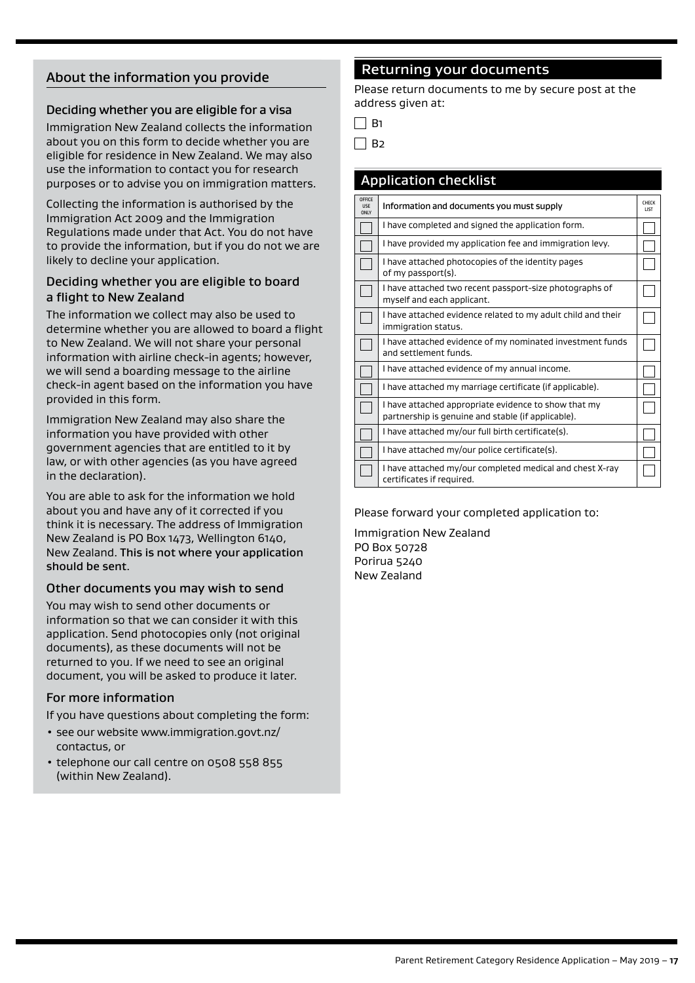## About the information you provide

#### Deciding whether you are eligible for a visa

Immigration New Zealand collects the information about you on this form to decide whether you are eligible for residence in New Zealand. We may also use the information to contact you for research purposes or to advise you on immigration matters.

Collecting the information is authorised by the Immigration Act 2009 and the Immigration Regulations made under that Act. You do not have to provide the information, but if you do not we are likely to decline your application.

#### Deciding whether you are eligible to board a flight to New Zealand

The information we collect may also be used to determine whether you are allowed to board a flight to New Zealand. We will not share your personal information with airline check-in agents; however, we will send a boarding message to the airline check-in agent based on the information you have provided in this form.

Immigration New Zealand may also share the information you have provided with other government agencies that are entitled to it by law, or with other agencies (as you have agreed in the declaration).

You are able to ask for the information we hold about you and have any of it corrected if you think it is necessary. The address of Immigration New Zealand is PO Box 1473, Wellington 6140, New Zealand. This is not where your application should be sent.

#### Other documents you may wish to send

You may wish to send other documents or information so that we can consider it with this application. Send photocopies only (not original documents), as these documents will not be returned to you. If we need to see an original document, you will be asked to produce it later.

#### For more information

If you have questions about completing the form:

- see our website www.immigration.govt.nz/ contactus, or
- telephone our call centre on 0508 558 855 (within New Zealand).

#### Returning your documents

Please return documents to me by secure post at the address given at:

|  |  | ٠ |
|--|--|---|
|--|--|---|

 $\Box$  B<sub>2</sub>

|                                     | <b>Application checklist</b>                                                                               |                      |
|-------------------------------------|------------------------------------------------------------------------------------------------------------|----------------------|
| <b>OFFICE</b><br><b>USE</b><br>ONLY | Information and documents you must supply                                                                  | CHECK<br><b>LIST</b> |
|                                     | I have completed and signed the application form.                                                          |                      |
|                                     | I have provided my application fee and immigration levy.                                                   |                      |
|                                     | I have attached photocopies of the identity pages<br>of my passport(s).                                    |                      |
|                                     | I have attached two recent passport-size photographs of<br>myself and each applicant.                      |                      |
|                                     | I have attached evidence related to my adult child and their<br>immigration status.                        |                      |
|                                     | I have attached evidence of my nominated investment funds<br>and settlement funds.                         |                      |
|                                     | I have attached evidence of my annual income.                                                              |                      |
|                                     | I have attached my marriage certificate (if applicable).                                                   |                      |
|                                     | I have attached appropriate evidence to show that my<br>partnership is genuine and stable (if applicable). |                      |
|                                     | I have attached my/our full birth certificate(s).                                                          |                      |
|                                     | I have attached my/our police certificate(s).                                                              |                      |
|                                     | I have attached my/our completed medical and chest X-ray<br>certificates if required.                      |                      |

Please forward your completed application to:

Immigration New Zealand PO Box 50728 Porirua 5240 New Zealand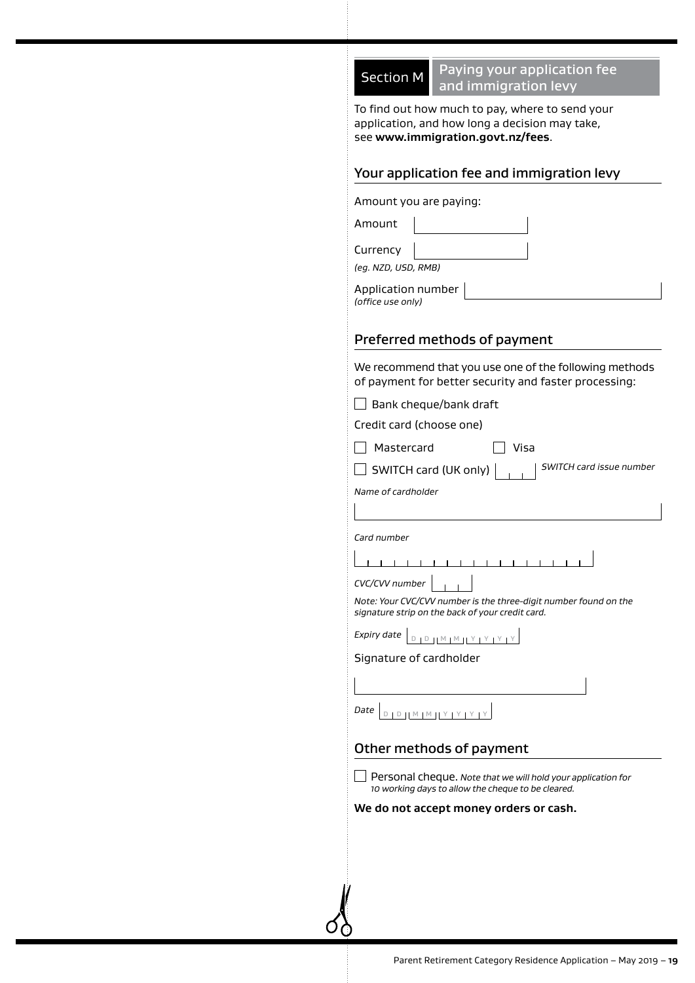

Section M Paying your application fee and immigration levy

To find out how much to pay, where to send your application, and how long a decision may take, see **www.immigration.govt.nz/fees**.

#### Your application fee and immigration levy

Amount you are paying:

Amount

**Currency** *(eg. NZD, USD, RMB)*

Application number *(office use only)*

## Preferred methods of payment

We recommend that you use one of the following methods of payment for better security and faster processing:

 $\Box$  Bank cheque/bank draft

Credit card (choose one)

Mastercard Visa

SWITCH card (UK only) *SWITCH card issue number*

*Name of cardholder*

*Card number*

| CVC/CVV number |  |
|----------------|--|
|                |  |

*Note: Your CVC/CVV number is the three-digit number found on the signature strip on the back of your credit card.*

| $\angle$ xpiry date $ _{D+D+1}$ M $ _{M+1}$ Y $ _{Y+Y+Y+Y+Y+T}$ |  |  |  |  |  |  |  |  |  |
|-----------------------------------------------------------------|--|--|--|--|--|--|--|--|--|
|-----------------------------------------------------------------|--|--|--|--|--|--|--|--|--|

#### Signature of cardholder

| $Date \mid$<br>.<br>ך צן צן צן אן און סו<br>л. |  |
|------------------------------------------------|--|

## Other methods of payment

Personal cheque. *Note that we will hold your application for 10 working days to allow the cheque to be cleared.*

#### **We do not accept money orders or cash.**